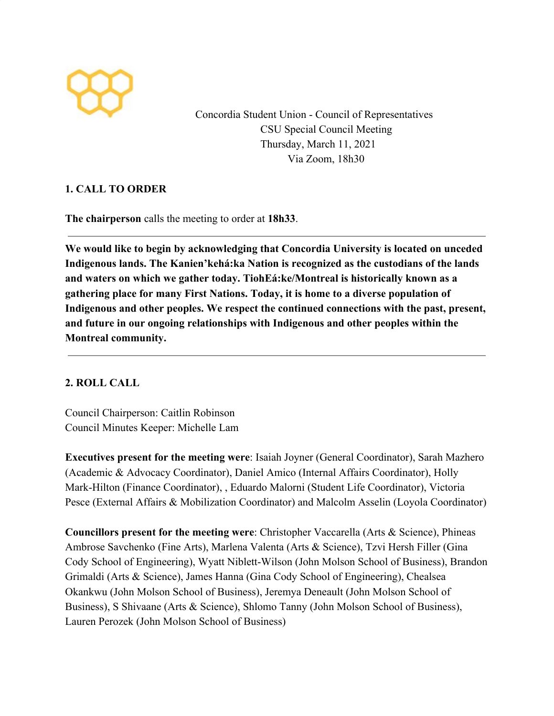

Concordia Student Union - Council of Representatives CSU Special Council Meeting Thursday, March 11, 2021 Via Zoom, 18h30

# **1. CALL TO ORDER**

**The chairperson** calls the meeting to order at **18h33**.

**We would like to begin by acknowledging that Concordia University is located on unceded Indigenous lands. The Kanien'kehá:ka Nation is recognized as the custodians of the lands and waters on which we gather today. TiohEá:ke/Montreal is historically known as a gathering place for many First Nations. Today, it is home to a diverse population of Indigenous and other peoples. We respect the continued connections with the past, present, and future in our ongoing relationships with Indigenous and other peoples within the Montreal community.**

# **2. ROLL CALL**

Council Chairperson: Caitlin Robinson Council Minutes Keeper: Michelle Lam

**Executives present for the meeting were**: Isaiah Joyner (General Coordinator), Sarah Mazhero (Academic & Advocacy Coordinator), Daniel Amico (Internal Affairs Coordinator), Holly Mark-Hilton (Finance Coordinator), , Eduardo Malorni (Student Life Coordinator), Victoria Pesce (External Affairs & Mobilization Coordinator) and Malcolm Asselin (Loyola Coordinator)

**Councillors present for the meeting were**: Christopher Vaccarella (Arts & Science), Phineas Ambrose Savchenko (Fine Arts), Marlena Valenta (Arts & Science), Tzvi Hersh Filler (Gina Cody School of Engineering), Wyatt Niblett-Wilson (John Molson School of Business), Brandon Grimaldi (Arts & Science), James Hanna (Gina Cody School of Engineering), Chealsea Okankwu (John Molson School of Business), Jeremya Deneault (John Molson School of Business), S Shivaane (Arts & Science), Shlomo Tanny (John Molson School of Business), Lauren Perozek (John Molson School of Business)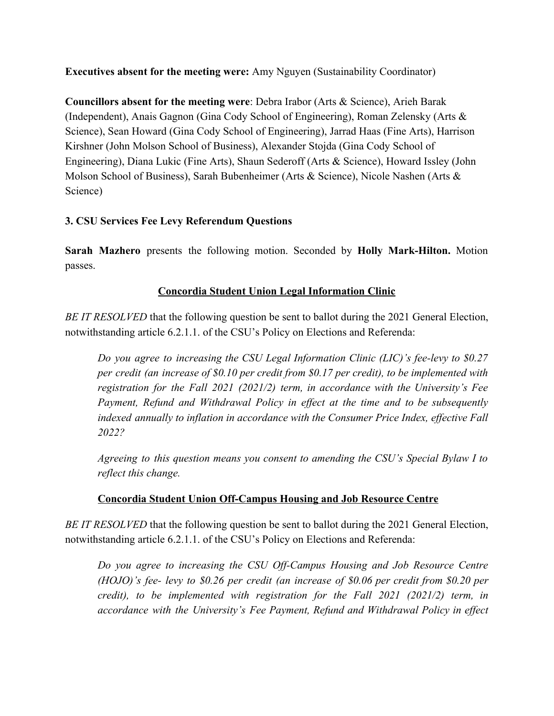**Executives absent for the meeting were:** Amy Nguyen (Sustainability Coordinator)

**Councillors absent for the meeting were**: Debra Irabor (Arts & Science), Arieh Barak (Independent), Anais Gagnon (Gina Cody School of Engineering), Roman Zelensky (Arts & Science), Sean Howard (Gina Cody School of Engineering), Jarrad Haas (Fine Arts), Harrison Kirshner (John Molson School of Business), Alexander Stojda (Gina Cody School of Engineering), Diana Lukic (Fine Arts), Shaun Sederoff (Arts & Science), Howard Issley (John Molson School of Business), Sarah Bubenheimer (Arts & Science), Nicole Nashen (Arts & Science)

# **3. CSU Services Fee Levy Referendum Questions**

**Sarah Mazhero** presents the following motion. Seconded by **Holly Mark-Hilton.** Motion passes.

# **Concordia Student Union Legal Information Clinic**

*BE IT RESOLVED* that the following question be sent to ballot during the 2021 General Election, notwithstanding article 6.2.1.1. of the CSU's Policy on Elections and Referenda:

*Do you agree to increasing the CSU Legal Information Clinic (LIC)'s fee-levy to \$0.27 per credit (an increase of \$0.10 per credit from \$0.17 per credit), to be implemented with registration for the Fall 2021 (2021/2) term, in accordance with the University's Fee Payment, Refund and Withdrawal Policy in effect at the time and to be subsequently indexed annually to inflation in accordance with the Consumer Price Index, effective Fall 2022?*

*Agreeing to this question means you consent to amending the CSU's Special Bylaw I to reflect this change.*

# **Concordia Student Union Off-Campus Housing and Job Resource Centre**

*BE IT RESOLVED* that the following question be sent to ballot during the 2021 General Election, notwithstanding article 6.2.1.1. of the CSU's Policy on Elections and Referenda:

*Do you agree to increasing the CSU Off-Campus Housing and Job Resource Centre (HOJO)'s fee- levy to \$0.26 per credit (an increase of \$0.06 per credit from \$0.20 per credit), to be implemented with registration for the Fall 2021 (2021/2) term, in accordance with the University's Fee Payment, Refund and Withdrawal Policy in effect*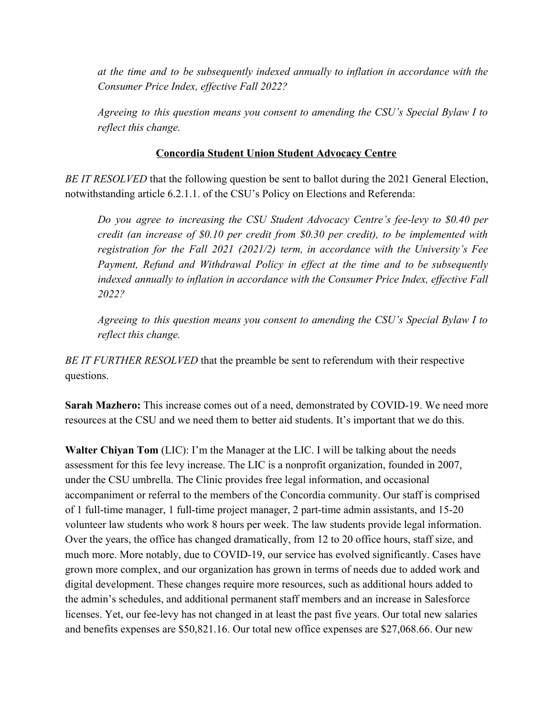*at the time and to be subsequently indexed annually to inflation in accordance with the Consumer Price Index, effective Fall 2022?*

*Agreeing to this question means you consent to amending the CSU's Special Bylaw I to reflect this change.*

## **Concordia Student Union Student Advocacy Centre**

*BE IT RESOLVED* that the following question be sent to ballot during the 2021 General Election, notwithstanding article 6.2.1.1. of the CSU's Policy on Elections and Referenda:

*Do you agree to increasing the CSU Student Advocacy Centre's fee-levy to \$0.40 per credit (an increase of \$0.10 per credit from \$0.30 per credit), to be implemented with registration for the Fall 2021 (2021/2) term, in accordance with the University's Fee Payment, Refund and Withdrawal Policy in effect at the time and to be subsequently indexed annually to inflation in accordance with the Consumer Price Index, effective Fall 2022?*

*Agreeing to this question means you consent to amending the CSU's Special Bylaw I to reflect this change.*

*BE IT FURTHER RESOLVED* that the preamble be sent to referendum with their respective questions.

**Sarah Mazhero:** This increase comes out of a need, demonstrated by COVID-19. We need more resources at the CSU and we need them to better aid students. It's important that we do this.

**Walter Chiyan Tom** (LIC): I'm the Manager at the LIC. I will be talking about the needs assessment for this fee levy increase. The LIC is a nonprofit organization, founded in 2007, under the CSU umbrella. The Clinic provides free legal information, and occasional accompaniment or referral to the members of the Concordia community. Our staff is comprised of 1 full-time manager, 1 full-time project manager, 2 part-time admin assistants, and 15-20 volunteer law students who work 8 hours per week. The law students provide legal information. Over the years, the office has changed dramatically, from 12 to 20 office hours, staff size, and much more. More notably, due to COVID-19, our service has evolved significantly. Cases have grown more complex, and our organization has grown in terms of needs due to added work and digital development. These changes require more resources, such as additional hours added to the admin's schedules, and additional permanent staff members and an increase in Salesforce licenses. Yet, our fee-levy has not changed in at least the past five years. Our total new salaries and benefits expenses are \$50,821.16. Our total new office expenses are \$27,068.66. Our new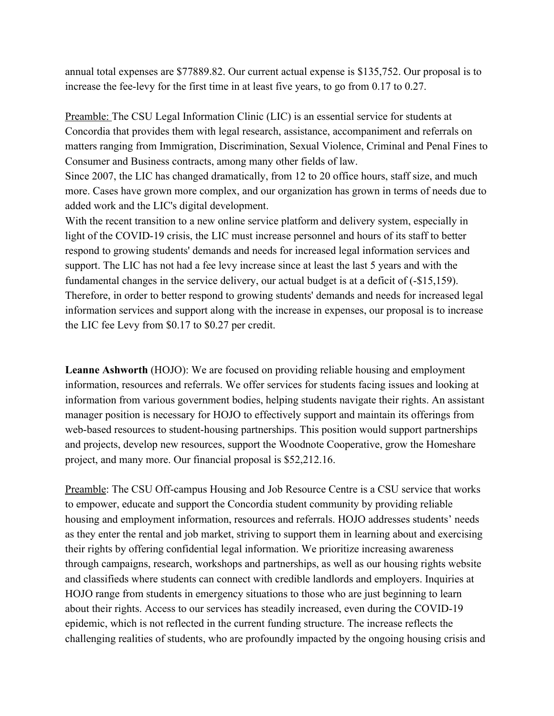annual total expenses are \$77889.82. Our current actual expense is \$135,752. Our proposal is to increase the fee-levy for the first time in at least five years, to go from 0.17 to 0.27.

Preamble: The CSU Legal Information Clinic (LIC) is an essential service for students at Concordia that provides them with legal research, assistance, accompaniment and referrals on matters ranging from Immigration, Discrimination, Sexual Violence, Criminal and Penal Fines to Consumer and Business contracts, among many other fields of law.

Since 2007, the LIC has changed dramatically, from 12 to 20 office hours, staff size, and much more. Cases have grown more complex, and our organization has grown in terms of needs due to added work and the LIC's digital development.

With the recent transition to a new online service platform and delivery system, especially in light of the COVID-19 crisis, the LIC must increase personnel and hours of its staff to better respond to growing students' demands and needs for increased legal information services and support. The LIC has not had a fee levy increase since at least the last 5 years and with the fundamental changes in the service delivery, our actual budget is at a deficit of (-\$15,159). Therefore, in order to better respond to growing students' demands and needs for increased legal information services and support along with the increase in expenses, our proposal is to increase the LIC fee Levy from \$0.17 to \$0.27 per credit.

**Leanne Ashworth** (HOJO): We are focused on providing reliable housing and employment information, resources and referrals. We offer services for students facing issues and looking at information from various government bodies, helping students navigate their rights. An assistant manager position is necessary for HOJO to effectively support and maintain its offerings from web-based resources to student-housing partnerships. This position would support partnerships and projects, develop new resources, support the Woodnote Cooperative, grow the Homeshare project, and many more. Our financial proposal is \$52,212.16.

Preamble: The CSU Off-campus Housing and Job Resource Centre is a CSU service that works to empower, educate and support the Concordia student community by providing reliable housing and employment information, resources and referrals. HOJO addresses students' needs as they enter the rental and job market, striving to support them in learning about and exercising their rights by offering confidential legal information. We prioritize increasing awareness through campaigns, research, workshops and partnerships, as well as our housing rights website and classifieds where students can connect with credible landlords and employers. Inquiries at HOJO range from students in emergency situations to those who are just beginning to learn about their rights. Access to our services has steadily increased, even during the COVID-19 epidemic, which is not reflected in the current funding structure. The increase reflects the challenging realities of students, who are profoundly impacted by the ongoing housing crisis and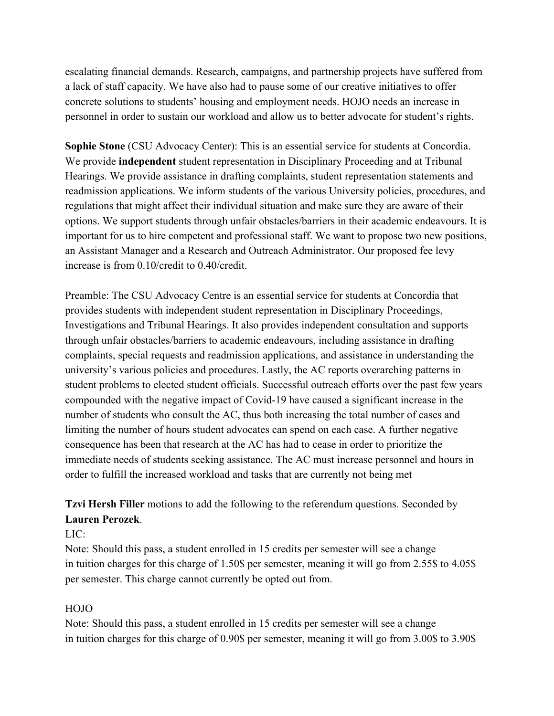escalating financial demands. Research, campaigns, and partnership projects have suffered from a lack of staff capacity. We have also had to pause some of our creative initiatives to offer concrete solutions to students' housing and employment needs. HOJO needs an increase in personnel in order to sustain our workload and allow us to better advocate for student's rights.

**Sophie Stone** (CSU Advocacy Center): This is an essential service for students at Concordia. We provide **independent** student representation in Disciplinary Proceeding and at Tribunal Hearings. We provide assistance in drafting complaints, student representation statements and readmission applications. We inform students of the various University policies, procedures, and regulations that might affect their individual situation and make sure they are aware of their options. We support students through unfair obstacles/barriers in their academic endeavours. It is important for us to hire competent and professional staff. We want to propose two new positions, an Assistant Manager and a Research and Outreach Administrator. Our proposed fee levy increase is from 0.10/credit to 0.40/credit.

Preamble: The CSU Advocacy Centre is an essential service for students at Concordia that provides students with independent student representation in Disciplinary Proceedings, Investigations and Tribunal Hearings. It also provides independent consultation and supports through unfair obstacles/barriers to academic endeavours, including assistance in drafting complaints, special requests and readmission applications, and assistance in understanding the university's various policies and procedures. Lastly, the AC reports overarching patterns in student problems to elected student officials. Successful outreach efforts over the past few years compounded with the negative impact of Covid-19 have caused a significant increase in the number of students who consult the AC, thus both increasing the total number of cases and limiting the number of hours student advocates can spend on each case. A further negative consequence has been that research at the AC has had to cease in order to prioritize the immediate needs of students seeking assistance. The AC must increase personnel and hours in order to fulfill the increased workload and tasks that are currently not being met

**Tzvi Hersh Filler** motions to add the following to the referendum questions. Seconded by **Lauren Perozek**.

LIC:

Note: Should this pass, a student enrolled in 15 credits per semester will see a change in tuition charges for this charge of 1.50\$ per semester, meaning it will go from 2.55\$ to 4.05\$ per semester. This charge cannot currently be opted out from.

## HOJO

Note: Should this pass, a student enrolled in 15 credits per semester will see a change in tuition charges for this charge of 0.90\$ per semester, meaning it will go from 3.00\$ to 3.90\$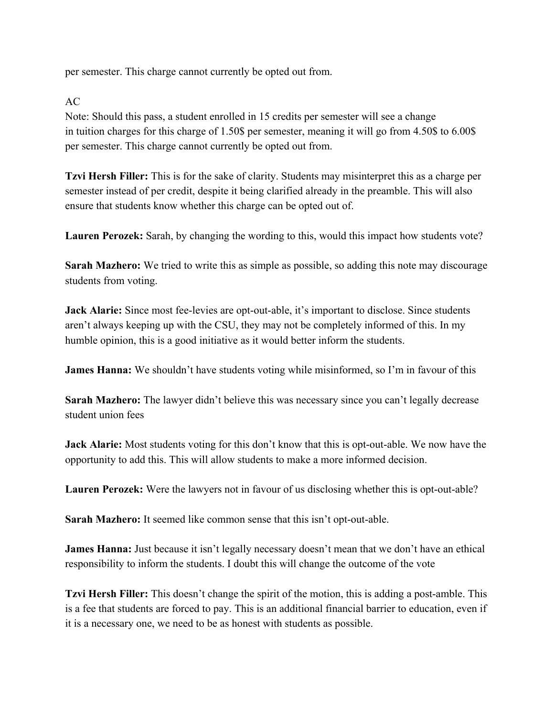per semester. This charge cannot currently be opted out from.

AC

Note: Should this pass, a student enrolled in 15 credits per semester will see a change in tuition charges for this charge of 1.50\$ per semester, meaning it will go from 4.50\$ to 6.00\$ per semester. This charge cannot currently be opted out from.

**Tzvi Hersh Filler:** This is for the sake of clarity. Students may misinterpret this as a charge per semester instead of per credit, despite it being clarified already in the preamble. This will also ensure that students know whether this charge can be opted out of.

**Lauren Perozek:** Sarah, by changing the wording to this, would this impact how students vote?

**Sarah Mazhero:** We tried to write this as simple as possible, so adding this note may discourage students from voting.

**Jack Alarie:** Since most fee-levies are opt-out-able, it's important to disclose. Since students aren't always keeping up with the CSU, they may not be completely informed of this. In my humble opinion, this is a good initiative as it would better inform the students.

**James Hanna:** We shouldn't have students voting while misinformed, so I'm in favour of this

**Sarah Mazhero:** The lawyer didn't believe this was necessary since you can't legally decrease student union fees

**Jack Alarie:** Most students voting for this don't know that this is opt-out-able. We now have the opportunity to add this. This will allow students to make a more informed decision.

**Lauren Perozek:** Were the lawyers not in favour of us disclosing whether this is opt-out-able?

**Sarah Mazhero:** It seemed like common sense that this isn't opt-out-able.

**James Hanna:** Just because it isn't legally necessary doesn't mean that we don't have an ethical responsibility to inform the students. I doubt this will change the outcome of the vote

**Tzvi Hersh Filler:** This doesn't change the spirit of the motion, this is adding a post-amble. This is a fee that students are forced to pay. This is an additional financial barrier to education, even if it is a necessary one, we need to be as honest with students as possible.